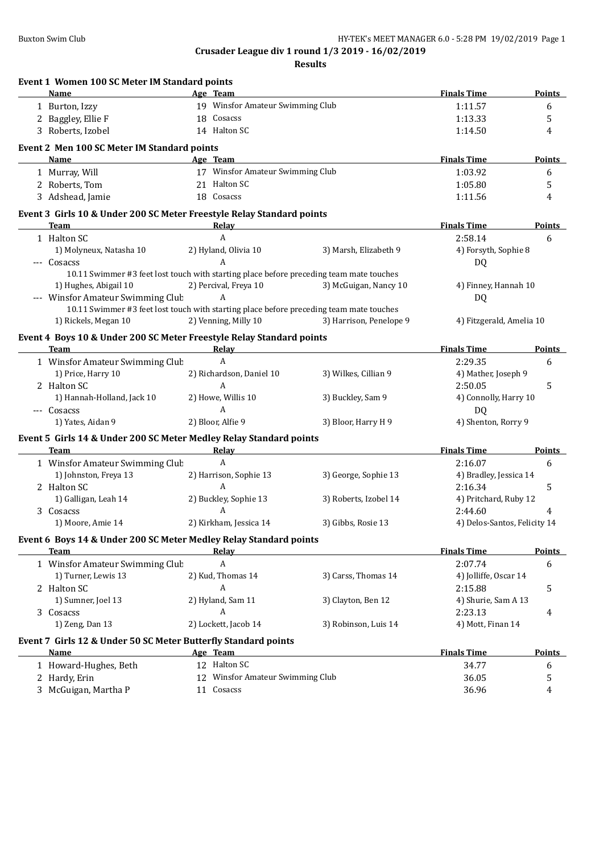| Event 1 Women 100 SC Meter IM Standard points                              |                                                                                         |                         |                              |               |
|----------------------------------------------------------------------------|-----------------------------------------------------------------------------------------|-------------------------|------------------------------|---------------|
| Name                                                                       | Age Team                                                                                |                         | <b>Finals Time</b>           | <b>Points</b> |
| 1 Burton, Izzy                                                             | 19 Winsfor Amateur Swimming Club                                                        |                         | 1:11.57                      | 6             |
| 2 Baggley, Ellie F                                                         | 18 Cosacss                                                                              |                         | 1:13.33                      | 5             |
| 3 Roberts, Izobel                                                          | 14 Halton SC                                                                            |                         | 1:14.50                      | 4             |
| Event 2 Men 100 SC Meter IM Standard points                                |                                                                                         |                         |                              |               |
| Name                                                                       | Age Team                                                                                |                         | <b>Finals Time</b>           | <b>Points</b> |
| 1 Murray, Will                                                             | 17 Winsfor Amateur Swimming Club                                                        |                         | 1:03.92                      | 6             |
| 2 Roberts, Tom                                                             | 21 Halton SC                                                                            |                         | 1:05.80                      | 5             |
| 3 Adshead, Jamie                                                           | 18 Cosacss                                                                              |                         | 1:11.56                      | 4             |
| Event 3 Girls 10 & Under 200 SC Meter Freestyle Relay Standard points      |                                                                                         |                         |                              |               |
| <b>Team</b>                                                                | Relay                                                                                   |                         | <b>Finals Time</b>           | <b>Points</b> |
| 1 Halton SC                                                                | $\boldsymbol{A}$                                                                        |                         | 2:58.14                      | 6             |
| 1) Molyneux, Natasha 10                                                    | 2) Hyland, Olivia 10                                                                    | 3) Marsh, Elizabeth 9   | 4) Forsyth, Sophie 8         |               |
| --- Cosacss                                                                | A                                                                                       |                         | DQ                           |               |
|                                                                            | 10.11 Swimmer #3 feet lost touch with starting place before preceding team mate touches |                         |                              |               |
| 1) Hughes, Abigail 10                                                      | 2) Percival, Freya 10                                                                   | 3) McGuigan, Nancy 10   | 4) Finney, Hannah 10         |               |
| --- Winsfor Amateur Swimming Club                                          | A                                                                                       |                         | DQ                           |               |
|                                                                            | 10.11 Swimmer #3 feet lost touch with starting place before preceding team mate touches |                         |                              |               |
| 1) Rickels, Megan 10                                                       | 2) Venning, Milly 10                                                                    | 3) Harrison, Penelope 9 | 4) Fitzgerald, Amelia 10     |               |
| Event 4 Boys 10 & Under 200 SC Meter Freestyle Relay Standard points       |                                                                                         |                         |                              |               |
| Team                                                                       | Relay                                                                                   |                         | <b>Finals Time</b>           | <b>Points</b> |
| 1 Winsfor Amateur Swimming Club                                            | $\mathbf{A}$                                                                            |                         | 2:29.35                      | 6             |
| 1) Price, Harry 10                                                         | 2) Richardson, Daniel 10                                                                | 3) Wilkes, Cillian 9    | 4) Mather, Joseph 9          |               |
| 2 Halton SC                                                                | A                                                                                       |                         | 2:50.05                      | 5             |
| 1) Hannah-Holland, Jack 10                                                 | 2) Howe, Willis 10                                                                      | 3) Buckley, Sam 9       | 4) Connolly, Harry 10        |               |
| --- Cosacss                                                                | $\mathbf{A}$                                                                            |                         | DQ                           |               |
| 1) Yates, Aidan 9                                                          | 2) Bloor, Alfie 9                                                                       | 3) Bloor, Harry H 9     | 4) Shenton, Rorry 9          |               |
|                                                                            |                                                                                         |                         |                              |               |
| Event 5 Girls 14 & Under 200 SC Meter Medley Relay Standard points<br>Team | Relay                                                                                   |                         | <b>Finals Time</b>           | Points        |
| 1 Winsfor Amateur Swimming Club                                            | $\mathbf{A}$                                                                            |                         | 2:16.07                      | 6             |
| 1) Johnston, Freya 13                                                      | 2) Harrison, Sophie 13                                                                  | 3) George, Sophie 13    | 4) Bradley, Jessica 14       |               |
| 2 Halton SC                                                                | A                                                                                       |                         | 2:16.34                      |               |
|                                                                            |                                                                                         |                         |                              | 5             |
| 1) Galligan, Leah 14                                                       | 2) Buckley, Sophie 13                                                                   | 3) Roberts, Izobel 14   | 4) Pritchard, Ruby 12        |               |
| 3 Cosacss                                                                  | A                                                                                       |                         | 2:44.60                      | 4             |
| 1) Moore, Amie 14                                                          | 2) Kirkham, Jessica 14                                                                  | 3) Gibbs, Rosie 13      | 4) Delos-Santos, Felicity 14 |               |
| Event 6 Boys 14 & Under 200 SC Meter Medley Relay Standard points<br>Team  | <u>Relav</u>                                                                            |                         | <b>Finals Time</b>           | <b>Points</b> |
| 1 Winsfor Amateur Swimming Club                                            | A                                                                                       |                         | 2:07.74                      | 6             |
| 1) Turner, Lewis 13                                                        | 2) Kud, Thomas 14                                                                       | 3) Carss, Thomas 14     | 4) Jolliffe, Oscar 14        |               |
|                                                                            | Α                                                                                       |                         |                              |               |
| 2 Halton SC                                                                |                                                                                         |                         | 2:15.88                      | 5             |
| 1) Sumner, Joel 13                                                         | 2) Hyland, Sam 11                                                                       | 3) Clayton, Ben 12      | 4) Shurie, Sam A 13          |               |
| 3 Cosacss                                                                  | A                                                                                       |                         | 2:23.13                      | 4             |
| 1) Zeng, Dan 13                                                            | 2) Lockett, Jacob 14                                                                    | 3) Robinson, Luis 14    | 4) Mott, Finan 14            |               |
| Event 7 Girls 12 & Under 50 SC Meter Butterfly Standard points             |                                                                                         |                         |                              |               |
| <b>Name</b>                                                                | Age Team                                                                                |                         | <b>Finals Time</b>           | <b>Points</b> |
| 1 Howard-Hughes, Beth                                                      | 12 Halton SC                                                                            |                         | 34.77                        | 6             |
|                                                                            |                                                                                         |                         | 36.05                        | 5             |
| 2 Hardy, Erin<br>3 McGuigan, Martha P                                      | 12 Winsfor Amateur Swimming Club<br>11 Cosacss                                          |                         | 36.96                        | 4             |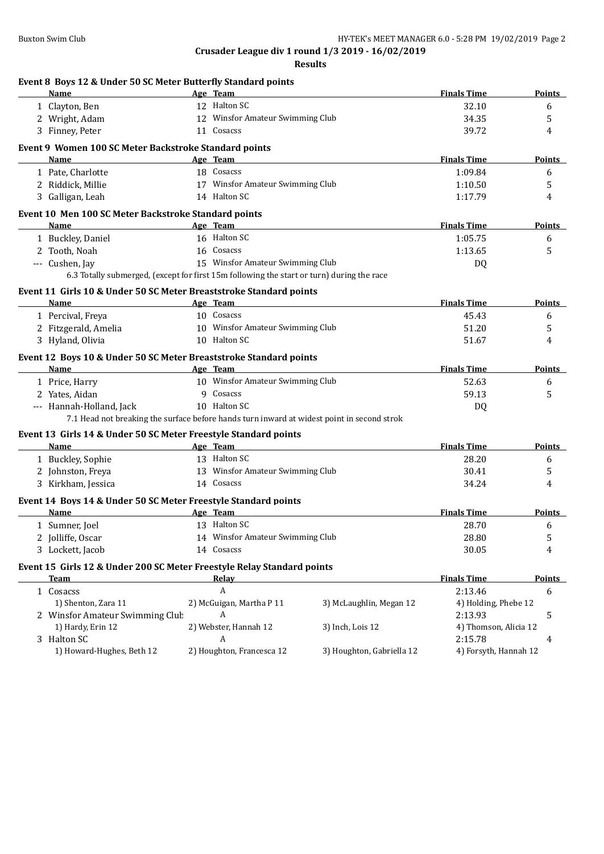| Event 8 Boys 12 & Under 50 SC Meter Butterfly Standard points                              |                                  |                           |                       |               |
|--------------------------------------------------------------------------------------------|----------------------------------|---------------------------|-----------------------|---------------|
| Name                                                                                       | Age Team                         |                           | <b>Finals Time</b>    | Points        |
| 1 Clayton, Ben                                                                             | 12 Halton SC                     |                           | 32.10                 | 6             |
| 2 Wright, Adam                                                                             | 12 Winsfor Amateur Swimming Club |                           | 34.35                 | 5             |
| 3 Finney, Peter                                                                            | 11 Cosacss                       |                           | 39.72                 | 4             |
| Event 9 Women 100 SC Meter Backstroke Standard points                                      |                                  |                           |                       |               |
| <b>Name</b>                                                                                | Age Team                         |                           | <b>Finals Time</b>    | <b>Points</b> |
| 1 Pate, Charlotte                                                                          | 18 Cosacss                       |                           | 1:09.84               | 6             |
| 2 Riddick, Millie                                                                          | 17 Winsfor Amateur Swimming Club |                           | 1:10.50               | 5             |
| 3 Galligan, Leah                                                                           | 14 Halton SC                     |                           | 1:17.79               | 4             |
| Event 10 Men 100 SC Meter Backstroke Standard points                                       |                                  |                           |                       |               |
| <b>Name</b>                                                                                | Age Team                         |                           | <b>Finals Time</b>    | Points        |
| 1 Buckley, Daniel                                                                          | 16 Halton SC                     |                           | 1:05.75               | 6             |
| 2 Tooth, Noah                                                                              | 16 Cosacss                       |                           | 1:13.65               | 5             |
| --- Cushen, Jay                                                                            | 15 Winsfor Amateur Swimming Club |                           | DQ                    |               |
| 6.3 Totally submerged, (except for first 15m following the start or turn) during the race  |                                  |                           |                       |               |
| Event 11 Girls 10 & Under 50 SC Meter Breaststroke Standard points                         |                                  |                           |                       |               |
| Name                                                                                       | Age Team                         |                           | <b>Finals Time</b>    | Points        |
| 1 Percival, Freya                                                                          | 10 Cosacss                       |                           | 45.43                 | 6             |
| 2 Fitzgerald, Amelia                                                                       | 10 Winsfor Amateur Swimming Club |                           | 51.20                 | 5             |
| 3 Hyland, Olivia                                                                           | 10 Halton SC                     |                           | 51.67                 | 4             |
| Event 12 Boys 10 & Under 50 SC Meter Breaststroke Standard points                          |                                  |                           |                       |               |
| Name                                                                                       | Age Team                         |                           | <b>Finals Time</b>    | <b>Points</b> |
| 1 Price, Harry                                                                             | 10 Winsfor Amateur Swimming Club |                           | 52.63                 | 6             |
| 2 Yates, Aidan                                                                             | 9 Cosacss                        |                           | 59.13                 | 5             |
| --- Hannah-Holland, Jack                                                                   | 10 Halton SC                     |                           | DQ                    |               |
| 7.1 Head not breaking the surface before hands turn inward at widest point in second strok |                                  |                           |                       |               |
| Event 13 Girls 14 & Under 50 SC Meter Freestyle Standard points                            |                                  |                           |                       |               |
| Name                                                                                       | Age Team                         |                           | <b>Finals Time</b>    | <b>Points</b> |
| 1 Buckley, Sophie                                                                          | 13 Halton SC                     |                           | 28.20                 | 6             |
| 2 Johnston, Freya                                                                          | 13 Winsfor Amateur Swimming Club |                           | 30.41                 | 5             |
| 3 Kirkham, Jessica                                                                         | 14 Cosacss                       |                           | 34.24                 | 4             |
|                                                                                            |                                  |                           |                       |               |
| Event 14 Boys 14 & Under 50 SC Meter Freestyle Standard points<br><b>Name</b>              | Age Team                         |                           | <b>Finals Time</b>    | Points        |
| 1 Sumner, Joel                                                                             | 13 Halton SC                     |                           | 28.70                 | 6             |
| 2 Jolliffe, Oscar                                                                          | 14 Winsfor Amateur Swimming Club |                           | 28.80                 | 5             |
| 3 Lockett, Jacob                                                                           | 14 Cosacss                       |                           | 30.05                 | 4             |
|                                                                                            |                                  |                           |                       |               |
| Event 15 Girls 12 & Under 200 SC Meter Freestyle Relay Standard points                     |                                  |                           |                       |               |
| <b>Team</b>                                                                                | <b>Relay</b>                     |                           | <b>Finals Time</b>    | <b>Points</b> |
| 1 Cosacss                                                                                  | A                                |                           | 2:13.46               | 6             |
| 1) Shenton, Zara 11                                                                        | 2) McGuigan, Martha P 11         | 3) McLaughlin, Megan 12   | 4) Holding, Phebe 12  |               |
| 2 Winsfor Amateur Swimming Club                                                            | A                                |                           | 2:13.93               | 5             |
| 1) Hardy, Erin 12                                                                          | 2) Webster, Hannah 12            | 3) Inch, Lois 12          | 4) Thomson, Alicia 12 |               |
| 3 Halton SC                                                                                | A                                |                           | 2:15.78               | 4             |
| 1) Howard-Hughes, Beth 12                                                                  | 2) Houghton, Francesca 12        | 3) Houghton, Gabriella 12 | 4) Forsyth, Hannah 12 |               |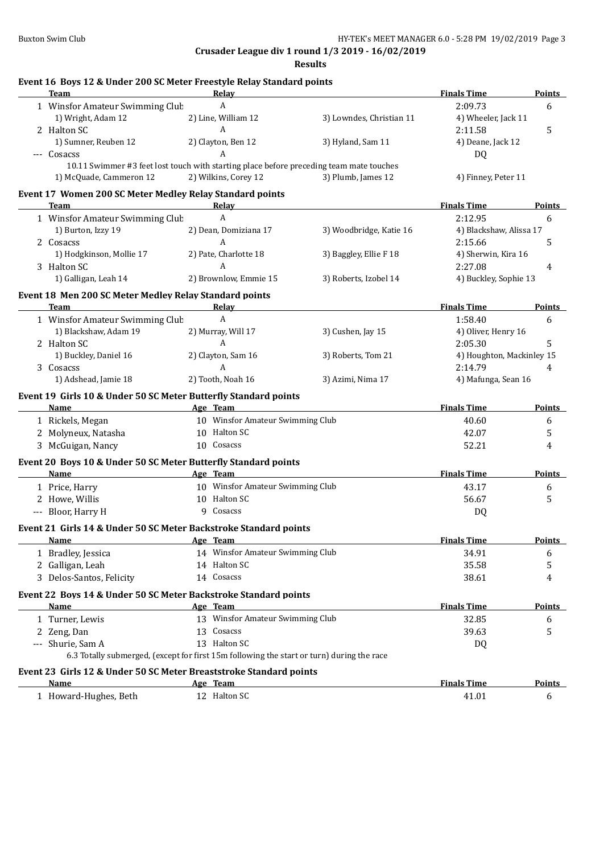| Event 16 Boys 12 & Under 200 SC Meter Freestyle Relay Standard points<br><b>Team</b>      | Relay                            |                                                                                           | <b>Finals Time</b>        | <b>Points</b> |
|-------------------------------------------------------------------------------------------|----------------------------------|-------------------------------------------------------------------------------------------|---------------------------|---------------|
| 1 Winsfor Amateur Swimming Club                                                           | A                                |                                                                                           | 2:09.73                   | 6             |
| 1) Wright, Adam 12                                                                        | 2) Line, William 12              | 3) Lowndes, Christian 11                                                                  | 4) Wheeler, Jack 11       |               |
| 2 Halton SC                                                                               | $\boldsymbol{A}$                 |                                                                                           | 2:11.58                   | 5             |
| 1) Sumner, Reuben 12                                                                      | 2) Clayton, Ben 12               | 3) Hyland, Sam 11                                                                         | 4) Deane, Jack 12         |               |
| --- Cosacss                                                                               | A                                |                                                                                           | <b>DQ</b>                 |               |
| 10.11 Swimmer #3 feet lost touch with starting place before preceding team mate touches   |                                  |                                                                                           |                           |               |
| 1) McQuade, Cammeron 12                                                                   | 2) Wilkins, Corey 12             | 3) Plumb, James 12                                                                        | 4) Finney, Peter 11       |               |
| Event 17 Women 200 SC Meter Medley Relay Standard points                                  |                                  |                                                                                           |                           |               |
| <b>Team</b>                                                                               | Relay                            |                                                                                           | <b>Finals Time</b>        | Points        |
| 1 Winsfor Amateur Swimming Club                                                           | A                                |                                                                                           | 2:12.95                   | 6             |
| 1) Burton, Izzy 19                                                                        | 2) Dean, Domiziana 17            | 3) Woodbridge, Katie 16                                                                   | 4) Blackshaw, Alissa 17   |               |
| 2 Cosacss                                                                                 | A                                |                                                                                           | 2:15.66                   | 5             |
| 1) Hodgkinson, Mollie 17                                                                  | 2) Pate, Charlotte 18            | 3) Baggley, Ellie F 18                                                                    | 4) Sherwin, Kira 16       |               |
| 3 Halton SC                                                                               | A                                |                                                                                           | 2:27.08                   | 4             |
| 1) Galligan, Leah 14                                                                      | 2) Brownlow, Emmie 15            | 3) Roberts, Izobel 14                                                                     | 4) Buckley, Sophie 13     |               |
| Event 18 Men 200 SC Meter Medley Relay Standard points                                    |                                  |                                                                                           |                           |               |
| Team<br><u> 1980 - Johann Barbara, martxa alemaniar arg</u>                               | Relay                            | the control of the control of the control of the control of the control of the control of | <b>Finals Time</b>        | <b>Points</b> |
| 1 Winsfor Amateur Swimming Club                                                           | A                                |                                                                                           | 1:58.40                   | 6             |
| 1) Blackshaw, Adam 19                                                                     | 2) Murray, Will 17               | 3) Cushen, Jay 15                                                                         | 4) Oliver, Henry 16       |               |
| 2 Halton SC                                                                               | A                                |                                                                                           | 2:05.30                   | 5             |
| 1) Buckley, Daniel 16                                                                     | 2) Clayton, Sam 16               | 3) Roberts, Tom 21                                                                        | 4) Houghton, Mackinley 15 |               |
| 3 Cosacss                                                                                 | A                                |                                                                                           | 2:14.79                   | 4             |
| 1) Adshead, Jamie 18                                                                      | 2) Tooth, Noah 16                | 3) Azimi, Nima 17                                                                         | 4) Mafunga, Sean 16       |               |
| Event 19 Girls 10 & Under 50 SC Meter Butterfly Standard points                           |                                  |                                                                                           |                           |               |
| Name                                                                                      | Age Team                         |                                                                                           | <b>Finals Time</b>        | Points        |
| 1 Rickels, Megan                                                                          | 10 Winsfor Amateur Swimming Club |                                                                                           | 40.60                     | 6             |
| 2 Molyneux, Natasha                                                                       | 10 Halton SC                     |                                                                                           | 42.07                     | 5             |
| 3 McGuigan, Nancy                                                                         | 10 Cosacss                       |                                                                                           | 52.21                     | 4             |
|                                                                                           |                                  |                                                                                           |                           |               |
| Event 20 Boys 10 & Under 50 SC Meter Butterfly Standard points<br>Name                    | Age Team                         |                                                                                           | <b>Finals Time</b>        | <b>Points</b> |
|                                                                                           | 10 Winsfor Amateur Swimming Club |                                                                                           | 43.17                     |               |
| 1 Price, Harry<br>2 Howe, Willis                                                          | 10 Halton SC                     |                                                                                           | 56.67                     | 6<br>5        |
| --- Bloor, Harry H                                                                        | 9 Cosacss                        |                                                                                           |                           |               |
|                                                                                           |                                  |                                                                                           | DQ                        |               |
| Event 21 Girls 14 & Under 50 SC Meter Backstroke Standard points                          |                                  |                                                                                           |                           |               |
| <b>Name</b>                                                                               | Age Team                         |                                                                                           | <b>Finals Time</b>        | <b>Points</b> |
| 1 Bradley, Jessica                                                                        | 14 Winsfor Amateur Swimming Club |                                                                                           | 34.91                     | 6             |
| 2 Galligan, Leah                                                                          | 14 Halton SC                     |                                                                                           | 35.58                     | 5             |
| 3 Delos-Santos, Felicity                                                                  | 14 Cosacss                       |                                                                                           | 38.61                     | 4             |
| Event 22 Boys 14 & Under 50 SC Meter Backstroke Standard points                           |                                  |                                                                                           |                           |               |
| Name                                                                                      | Age Team                         |                                                                                           | <b>Finals Time</b>        | <b>Points</b> |
| 1 Turner, Lewis                                                                           | 13 Winsfor Amateur Swimming Club |                                                                                           | 32.85                     | 6             |
| 2 Zeng, Dan                                                                               | 13 Cosacss                       |                                                                                           | 39.63                     | 5             |
| --- Shurie, Sam A                                                                         | 13 Halton SC                     |                                                                                           | DQ                        |               |
| 6.3 Totally submerged, (except for first 15m following the start or turn) during the race |                                  |                                                                                           |                           |               |
| Event 23 Girls 12 & Under 50 SC Meter Breaststroke Standard points                        |                                  |                                                                                           |                           |               |
| Name                                                                                      | Age Team                         |                                                                                           | <b>Finals Time</b>        | <b>Points</b> |
| 1 Howard-Hughes, Beth                                                                     | 12 Halton SC                     |                                                                                           | 41.01                     | 6             |
|                                                                                           |                                  |                                                                                           |                           |               |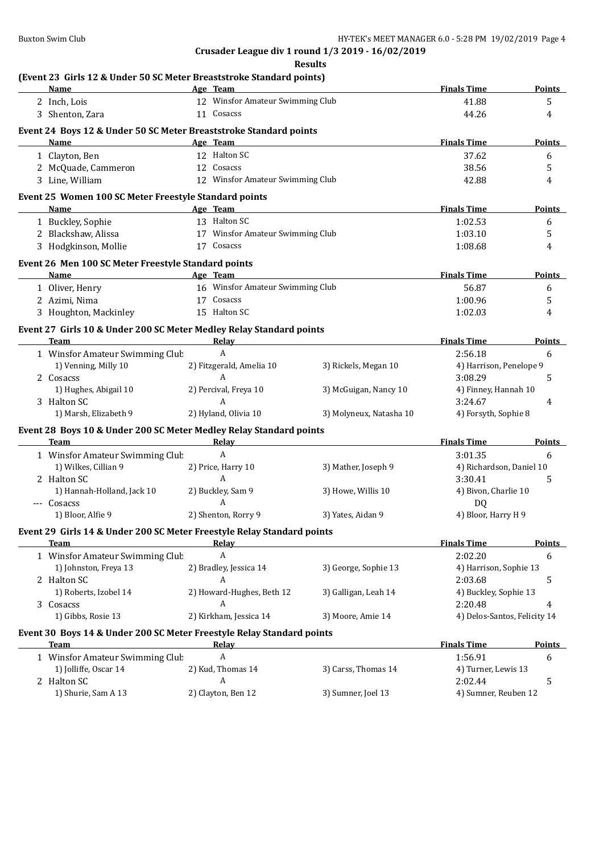| <b>Name</b><br><u> 1980 - Johann Barbara, martxa alemaniar a</u>                                                                                                                                                                    | Age Team                         |  |                                                                                                                                                                                                                               | <b>Finals Time</b>              | <b>Points</b> |  |
|-------------------------------------------------------------------------------------------------------------------------------------------------------------------------------------------------------------------------------------|----------------------------------|--|-------------------------------------------------------------------------------------------------------------------------------------------------------------------------------------------------------------------------------|---------------------------------|---------------|--|
| 2 Inch, Lois                                                                                                                                                                                                                        | 12 Winsfor Amateur Swimming Club |  |                                                                                                                                                                                                                               | 41.88                           | 5             |  |
| 3 Shenton, Zara                                                                                                                                                                                                                     | 11 Cosacss                       |  |                                                                                                                                                                                                                               | 44.26                           | 4             |  |
| Event 24 Boys 12 & Under 50 SC Meter Breaststroke Standard points                                                                                                                                                                   |                                  |  |                                                                                                                                                                                                                               |                                 |               |  |
| <b>Name</b>                                                                                                                                                                                                                         | Age Team                         |  |                                                                                                                                                                                                                               | <b>Finals Time</b>              | <b>Points</b> |  |
| 1 Clayton, Ben                                                                                                                                                                                                                      | 12 Halton SC                     |  |                                                                                                                                                                                                                               | 37.62                           | 6             |  |
| 2 McQuade, Cammeron                                                                                                                                                                                                                 | 12 Cosacss                       |  |                                                                                                                                                                                                                               | 38.56                           | 5             |  |
| 3 Line, William                                                                                                                                                                                                                     | 12 Winsfor Amateur Swimming Club |  |                                                                                                                                                                                                                               | 42.88                           | 4             |  |
|                                                                                                                                                                                                                                     |                                  |  |                                                                                                                                                                                                                               |                                 |               |  |
| Event 25 Women 100 SC Meter Freestyle Standard points<br>Name                                                                                                                                                                       | Age Team                         |  |                                                                                                                                                                                                                               | <b>Finals Time</b>              | <b>Points</b> |  |
|                                                                                                                                                                                                                                     | 13 Halton SC                     |  | <u> 1989 - Johann Barn, mars eta idazlear eta idazlear</u>                                                                                                                                                                    | 1:02.53                         |               |  |
| 1 Buckley, Sophie<br>2 Blackshaw, Alissa                                                                                                                                                                                            | 17 Winsfor Amateur Swimming Club |  |                                                                                                                                                                                                                               | 1:03.10                         | 6<br>5        |  |
| 3 Hodgkinson, Mollie                                                                                                                                                                                                                | 17 Cosacss                       |  |                                                                                                                                                                                                                               | 1:08.68                         | 4             |  |
|                                                                                                                                                                                                                                     |                                  |  |                                                                                                                                                                                                                               |                                 |               |  |
| Event 26 Men 100 SC Meter Freestyle Standard points                                                                                                                                                                                 |                                  |  |                                                                                                                                                                                                                               |                                 |               |  |
| Name                                                                                                                                                                                                                                | Age Team                         |  |                                                                                                                                                                                                                               | <b>Finals Time</b>              | <b>Points</b> |  |
| 1 Oliver, Henry                                                                                                                                                                                                                     | 16 Winsfor Amateur Swimming Club |  |                                                                                                                                                                                                                               | 56.87                           | 6             |  |
| 2 Azimi, Nima                                                                                                                                                                                                                       | 17 Cosacss                       |  |                                                                                                                                                                                                                               | 1:00.96                         | 5             |  |
| 3 Houghton, Mackinley                                                                                                                                                                                                               | 15 Halton SC                     |  |                                                                                                                                                                                                                               | 1:02.03                         | 4             |  |
| Event 27 Girls 10 & Under 200 SC Meter Medley Relay Standard points                                                                                                                                                                 |                                  |  |                                                                                                                                                                                                                               |                                 |               |  |
| <b>Team</b>                                                                                                                                                                                                                         | <b>Relay</b>                     |  |                                                                                                                                                                                                                               | <b>Finals Time</b>              | <b>Points</b> |  |
| 1 Winsfor Amateur Swimming Club                                                                                                                                                                                                     | $\mathbf{A}$                     |  |                                                                                                                                                                                                                               | 2:56.18                         | 6             |  |
| 1) Venning, Milly 10                                                                                                                                                                                                                | 2) Fitzgerald, Amelia 10         |  | 3) Rickels, Megan 10                                                                                                                                                                                                          | 4) Harrison, Penelope 9         |               |  |
| 2 Cosacss                                                                                                                                                                                                                           | $\boldsymbol{A}$                 |  |                                                                                                                                                                                                                               | 3:08.29                         | 5             |  |
| 1) Hughes, Abigail 10                                                                                                                                                                                                               | 2) Percival, Freya 10            |  | 3) McGuigan, Nancy 10                                                                                                                                                                                                         | 4) Finney, Hannah 10            |               |  |
| 3 Halton SC                                                                                                                                                                                                                         | $\boldsymbol{A}$                 |  |                                                                                                                                                                                                                               | 3:24.67                         | 4             |  |
| 1) Marsh, Elizabeth 9                                                                                                                                                                                                               | 2) Hyland, Olivia 10             |  | 3) Molyneux, Natasha 10                                                                                                                                                                                                       | 4) Forsyth, Sophie 8            |               |  |
| Event 28 Boys 10 & Under 200 SC Meter Medley Relay Standard points                                                                                                                                                                  |                                  |  |                                                                                                                                                                                                                               |                                 |               |  |
| <b>Team</b> and the state of the state of the state of the state of the state of the state of the state of the state of the state of the state of the state of the state of the state of the state of the state of the state of the |                                  |  | Relay and the contract of the contract of the contract of the contract of the contract of the contract of the contract of the contract of the contract of the contract of the contract of the contract of the contract of the | <b>Finals Time</b>              | Points        |  |
| 1 Winsfor Amateur Swimming Clut                                                                                                                                                                                                     | A                                |  |                                                                                                                                                                                                                               | 3:01.35                         | 6             |  |
| 1) Wilkes, Cillian 9                                                                                                                                                                                                                | 2) Price, Harry 10               |  | 3) Mather, Joseph 9                                                                                                                                                                                                           | 4) Richardson, Daniel 10        |               |  |
| 2 Halton SC                                                                                                                                                                                                                         | A                                |  |                                                                                                                                                                                                                               | 3:30.41                         | 5             |  |
| 1) Hannah-Holland, Jack 10                                                                                                                                                                                                          | 2) Buckley, Sam 9                |  | 3) Howe, Willis 10                                                                                                                                                                                                            | 4) Bivon, Charlie 10            |               |  |
| --- Cosacss                                                                                                                                                                                                                         | A                                |  |                                                                                                                                                                                                                               | DQ                              |               |  |
| 1) Bloor, Alfie 9                                                                                                                                                                                                                   | 2) Shenton, Rorry 9              |  | 3) Yates, Aidan 9                                                                                                                                                                                                             | 4) Bloor, Harry H 9             |               |  |
| Event 29 Girls 14 & Under 200 SC Meter Freestyle Relay Standard points                                                                                                                                                              |                                  |  |                                                                                                                                                                                                                               |                                 |               |  |
| Team                                                                                                                                                                                                                                | Relay                            |  |                                                                                                                                                                                                                               | <b>Finals Time</b>              | <b>Points</b> |  |
| 1 Winsfor Amateur Swimming Club                                                                                                                                                                                                     | A                                |  |                                                                                                                                                                                                                               | 2:02.20                         | 6             |  |
| 1) Johnston, Freya 13                                                                                                                                                                                                               | 2) Bradley, Jessica 14           |  | 3) George, Sophie 13                                                                                                                                                                                                          | 4) Harrison, Sophie 13          |               |  |
| 2 Halton SC                                                                                                                                                                                                                         | A                                |  |                                                                                                                                                                                                                               | 2:03.68                         | 5             |  |
| 1) Roberts, Izobel 14                                                                                                                                                                                                               | 2) Howard-Hughes, Beth 12        |  | 3) Galligan, Leah 14                                                                                                                                                                                                          | 4) Buckley, Sophie 13           |               |  |
| 3 Cosacss                                                                                                                                                                                                                           | A                                |  |                                                                                                                                                                                                                               | 2:20.48                         | 4             |  |
| 1) Gibbs, Rosie 13                                                                                                                                                                                                                  | 2) Kirkham, Jessica 14           |  | 3) Moore, Amie 14                                                                                                                                                                                                             | 4) Delos-Santos, Felicity 14    |               |  |
|                                                                                                                                                                                                                                     |                                  |  |                                                                                                                                                                                                                               |                                 |               |  |
| Event 30 Boys 14 & Under 200 SC Meter Freestyle Relay Standard points<br><b>Team</b>                                                                                                                                                |                                  |  |                                                                                                                                                                                                                               | <b>Finals Time</b>              | <b>Points</b> |  |
|                                                                                                                                                                                                                                     | <b>Relay</b><br>A                |  |                                                                                                                                                                                                                               | 1:56.91                         |               |  |
| 1 Winsfor Amateur Swimming Club<br>1) Jolliffe, Oscar 14                                                                                                                                                                            | 2) Kud, Thomas 14                |  | 3) Carss, Thomas 14                                                                                                                                                                                                           |                                 | 6             |  |
| 2 Halton SC                                                                                                                                                                                                                         | A                                |  |                                                                                                                                                                                                                               | 4) Turner, Lewis 13             |               |  |
| 1) Shurie, Sam A 13                                                                                                                                                                                                                 | 2) Clayton, Ben 12               |  |                                                                                                                                                                                                                               | 2:02.44<br>4) Sumner, Reuben 12 | 5             |  |
|                                                                                                                                                                                                                                     |                                  |  | 3) Sumner, Joel 13                                                                                                                                                                                                            |                                 |               |  |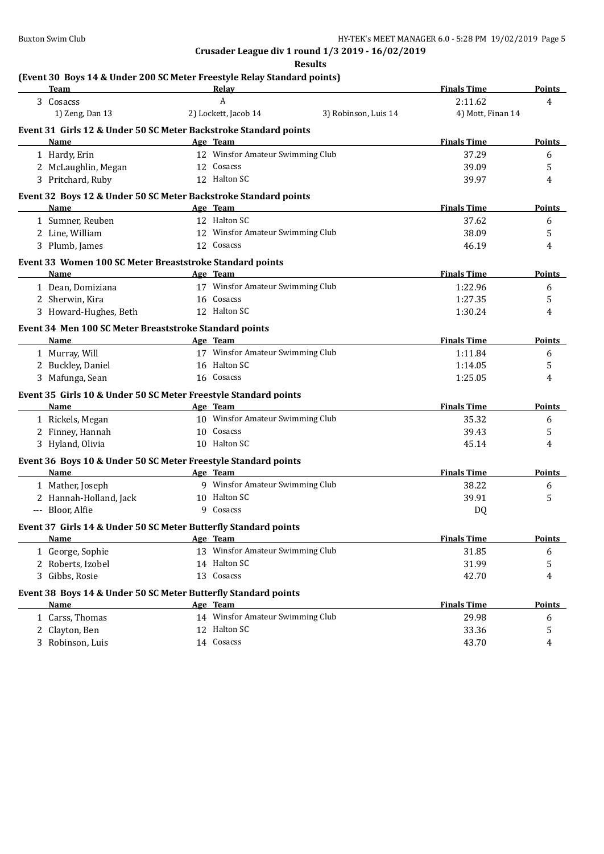| (Event 30 Boys 14 & Under 200 SC Meter Freestyle Relay Standard points)<br><b>Team</b> | Relay                            |                      | <b>Finals Time</b> | <b>Points</b> |
|----------------------------------------------------------------------------------------|----------------------------------|----------------------|--------------------|---------------|
| 3 Cosacss                                                                              | A                                |                      | 2:11.62            | 4             |
| 1) Zeng, Dan 13                                                                        | 2) Lockett, Jacob 14             | 3) Robinson, Luis 14 | 4) Mott, Finan 14  |               |
| Event 31 Girls 12 & Under 50 SC Meter Backstroke Standard points                       |                                  |                      |                    |               |
| Name<br><b>Example 2</b> Age Team                                                      |                                  |                      | <b>Finals Time</b> | <b>Points</b> |
| 1 Hardy, Erin                                                                          | 12 Winsfor Amateur Swimming Club |                      | 37.29              | 6             |
| 2 McLaughlin, Megan                                                                    | 12 Cosacss                       |                      | 39.09              | 5             |
| 3 Pritchard, Ruby                                                                      | 12 Halton SC                     |                      | 39.97              | 4             |
| Event 32 Boys 12 & Under 50 SC Meter Backstroke Standard points                        |                                  |                      |                    |               |
| Name                                                                                   | Age Team                         |                      | <b>Finals Time</b> | Points        |
| 1 Sumner, Reuben                                                                       | 12 Halton SC                     |                      | 37.62              | 6             |
| 2 Line, William                                                                        | 12 Winsfor Amateur Swimming Club |                      | 38.09              | 5             |
| 3 Plumb, James                                                                         | 12 Cosacss                       |                      | 46.19              | 4             |
| Event 33 Women 100 SC Meter Breaststroke Standard points                               |                                  |                      |                    |               |
| Name                                                                                   | Age Team                         |                      | <b>Finals Time</b> | Points        |
| 1 Dean, Domiziana                                                                      | 17 Winsfor Amateur Swimming Club |                      | 1:22.96            | 6             |
| 2 Sherwin, Kira                                                                        | 16 Cosacss                       |                      | 1:27.35            | 5             |
| 3 Howard-Hughes, Beth                                                                  | 12 Halton SC                     |                      | 1:30.24            | 4             |
| Event 34 Men 100 SC Meter Breaststroke Standard points                                 |                                  |                      |                    |               |
| Name                                                                                   | Age Team                         |                      | <b>Finals Time</b> | <b>Points</b> |
| 1 Murray, Will                                                                         | 17 Winsfor Amateur Swimming Club |                      | 1:11.84            | 6             |
| 2 Buckley, Daniel                                                                      | 16 Halton SC                     |                      | 1:14.05            | 5             |
| 3 Mafunga, Sean                                                                        | 16 Cosacss                       |                      | 1:25.05            | 4             |
| Event 35 Girls 10 & Under 50 SC Meter Freestyle Standard points                        |                                  |                      |                    |               |
| Name                                                                                   | Age Team                         |                      | <b>Finals Time</b> | Points        |
| 1 Rickels, Megan                                                                       | 10 Winsfor Amateur Swimming Club |                      | 35.32              | 6             |
| 2 Finney, Hannah                                                                       | 10 Cosacss                       |                      | 39.43              | 5             |
| 3 Hyland, Olivia                                                                       | 10 Halton SC                     |                      | 45.14              | 4             |
| Event 36 Boys 10 & Under 50 SC Meter Freestyle Standard points                         |                                  |                      |                    |               |
| <b>Example 2016</b> Age Team<br>Name                                                   |                                  |                      | <b>Finals Time</b> | Points        |
| 1 Mather, Joseph                                                                       | 9 Winsfor Amateur Swimming Club  |                      | 38.22              | 6             |
| 2 Hannah-Holland, Jack                                                                 | 10 Halton SC                     |                      | 39.91              | 5             |
| --- Bloor, Alfie                                                                       | 9 Cosacss                        |                      | DQ                 |               |
| Event 37 Girls 14 & Under 50 SC Meter Butterfly Standard points                        |                                  |                      |                    |               |
| <b>Name</b>                                                                            | Age Team                         |                      | <b>Finals Time</b> | <b>Points</b> |
| 1 George, Sophie                                                                       | 13 Winsfor Amateur Swimming Club |                      | 31.85              | 6             |
| 2 Roberts, Izobel                                                                      | 14 Halton SC                     |                      | 31.99              | 5             |
| 3 Gibbs, Rosie                                                                         | 13 Cosacss                       |                      | 42.70              | 4             |
| Event 38 Boys 14 & Under 50 SC Meter Butterfly Standard points                         |                                  |                      |                    |               |
| Name                                                                                   | Age Team                         |                      | <b>Finals Time</b> | <b>Points</b> |
| 1 Carss, Thomas                                                                        | 14 Winsfor Amateur Swimming Club |                      | 29.98              | 6             |
| 2 Clayton, Ben                                                                         | 12 Halton SC                     |                      | 33.36              | 5             |
| 3 Robinson, Luis                                                                       | 14 Cosacss                       |                      | 43.70              | 4             |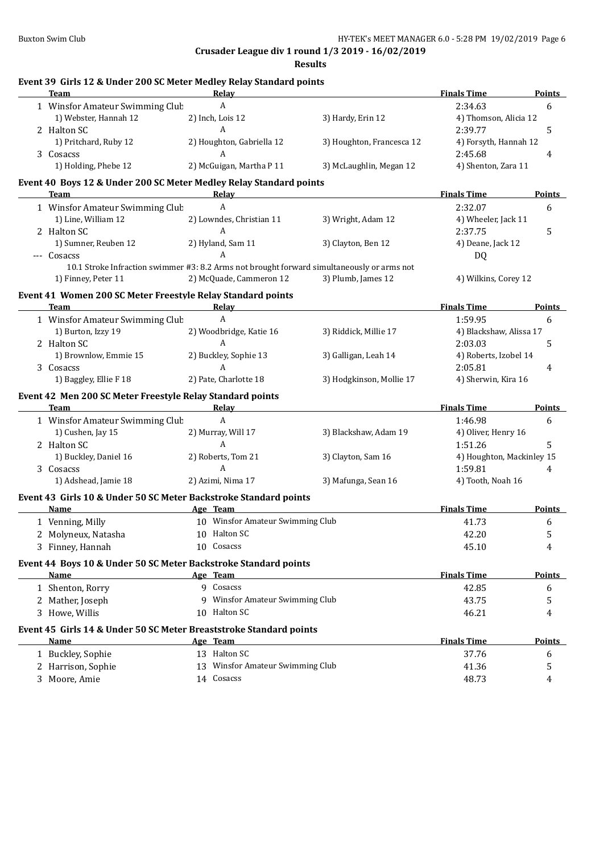| Event 39 Girls 12 & Under 200 SC Meter Medley Relay Standard points<br><b>Team</b> | Relay                                                                                      |                           | <b>Finals Time</b>                   | Points        |
|------------------------------------------------------------------------------------|--------------------------------------------------------------------------------------------|---------------------------|--------------------------------------|---------------|
| 1 Winsfor Amateur Swimming Club                                                    | $\boldsymbol{A}$                                                                           |                           | 2:34.63                              | 6             |
| 1) Webster, Hannah 12                                                              | 2) Inch, Lois 12                                                                           | 3) Hardy, Erin 12         | 4) Thomson, Alicia 12                |               |
| 2 Halton SC                                                                        | A                                                                                          |                           | 2:39.77                              | 5             |
| 1) Pritchard, Ruby 12                                                              | 2) Houghton, Gabriella 12                                                                  | 3) Houghton, Francesca 12 | 4) Forsyth, Hannah 12                |               |
| 3 Cosacss                                                                          | A                                                                                          |                           | 2:45.68                              | 4             |
| 1) Holding, Phebe 12                                                               | 2) McGuigan, Martha P 11                                                                   | 3) McLaughlin, Megan 12   | 4) Shenton, Zara 11                  |               |
| Event 40 Boys 12 & Under 200 SC Meter Medley Relay Standard points                 |                                                                                            |                           |                                      |               |
| Team<br>the control of the control of the control of the control of the control of | <b>Relay Example 2018</b>                                                                  |                           | <b>Finals Time</b>                   | <b>Points</b> |
| 1 Winsfor Amateur Swimming Club                                                    | A                                                                                          |                           | 2:32.07                              | 6             |
| 1) Line, William 12                                                                | 2) Lowndes, Christian 11                                                                   | 3) Wright, Adam 12        | 4) Wheeler, Jack 11                  |               |
| 2 Halton SC                                                                        | A                                                                                          |                           | 2:37.75                              | 5             |
| 1) Sumner, Reuben 12                                                               | 2) Hyland, Sam 11<br>A                                                                     | 3) Clayton, Ben 12        | 4) Deane, Jack 12                    |               |
| --- Cosacss                                                                        | 10.1 Stroke Infraction swimmer #3: 8.2 Arms not brought forward simultaneously or arms not |                           | DQ                                   |               |
| 1) Finney, Peter 11                                                                | 2) McQuade, Cammeron 12                                                                    | 3) Plumb, James 12        | 4) Wilkins, Corey 12                 |               |
| Event 41 Women 200 SC Meter Freestyle Relay Standard points                        |                                                                                            |                           |                                      |               |
| <b>Team</b>                                                                        | <b>Relay</b>                                                                               |                           | <b>Finals Time</b>                   | <b>Points</b> |
| 1 Winsfor Amateur Swimming Clut                                                    | $\mathbf{A}$                                                                               |                           | 1:59.95                              | 6             |
| 1) Burton, Izzy 19                                                                 | 2) Woodbridge, Katie 16                                                                    | 3) Riddick, Millie 17     | 4) Blackshaw, Alissa 17              |               |
| 2 Halton SC                                                                        | A                                                                                          |                           | 2:03.03                              | 5             |
| 1) Brownlow, Emmie 15                                                              | 2) Buckley, Sophie 13                                                                      | 3) Galligan, Leah 14      | 4) Roberts, Izobel 14                |               |
| 3 Cosacss                                                                          | A                                                                                          |                           | 2:05.81                              | 4             |
| 1) Baggley, Ellie F 18                                                             | 2) Pate, Charlotte 18                                                                      | 3) Hodgkinson, Mollie 17  | 4) Sherwin, Kira 16                  |               |
| Event 42 Men 200 SC Meter Freestyle Relay Standard points                          |                                                                                            |                           |                                      |               |
| Team                                                                               | Relay                                                                                      |                           | <b>Finals Time</b>                   | Points        |
| 1 Winsfor Amateur Swimming Club                                                    | A                                                                                          |                           | 1:46.98                              | 6             |
| 1) Cushen, Jay 15                                                                  | 2) Murray, Will 17<br>A                                                                    | 3) Blackshaw, Adam 19     | 4) Oliver, Henry 16                  |               |
| 2 Halton SC                                                                        |                                                                                            |                           | 1:51.26                              | 5             |
| 1) Buckley, Daniel 16                                                              | 2) Roberts, Tom 21                                                                         | 3) Clayton, Sam 16        | 4) Houghton, Mackinley 15<br>1:59.81 |               |
| 3 Cosacss                                                                          | A                                                                                          |                           |                                      | 4             |
| 1) Adshead, Jamie 18                                                               | 2) Azimi, Nima 17                                                                          | 3) Mafunga, Sean 16       | 4) Tooth, Noah 16                    |               |
| Event 43 Girls 10 & Under 50 SC Meter Backstroke Standard points                   |                                                                                            |                           |                                      |               |
| Name                                                                               | Age Team                                                                                   |                           | <b>Finals Time</b>                   | <b>Points</b> |
| 1 Venning, Milly                                                                   | 10 Winsfor Amateur Swimming Club                                                           |                           | 41.73                                | 6             |
| 2 Molyneux, Natasha                                                                | 10 Halton SC                                                                               |                           | 42.20                                | 5             |
| 3 Finney, Hannah                                                                   | 10 Cosacss                                                                                 |                           | 45.10                                | 4             |
| Event 44 Boys 10 & Under 50 SC Meter Backstroke Standard points                    |                                                                                            |                           |                                      |               |
| Name                                                                               | Age Team                                                                                   |                           | <b>Finals Time</b>                   | <b>Points</b> |
| 1 Shenton, Rorry                                                                   | 9 Cosacss                                                                                  |                           | 42.85                                | 6             |
| 2 Mather, Joseph                                                                   | 9 Winsfor Amateur Swimming Club                                                            |                           | 43.75                                | 5             |
| 3 Howe, Willis                                                                     | 10 Halton SC                                                                               |                           | 46.21                                | 4             |
| Event 45 Girls 14 & Under 50 SC Meter Breaststroke Standard points                 |                                                                                            |                           |                                      |               |
| Name                                                                               | Age Team                                                                                   |                           | <b>Finals Time</b>                   | <b>Points</b> |
| 1 Buckley, Sophie                                                                  | 13 Halton SC                                                                               |                           | 37.76                                | 6             |
| 2 Harrison, Sophie                                                                 | 13 Winsfor Amateur Swimming Club                                                           |                           | 41.36                                | 5             |
| 3 Moore, Amie                                                                      | 14 Cosacss                                                                                 |                           | 48.73                                | 4             |
|                                                                                    |                                                                                            |                           |                                      |               |